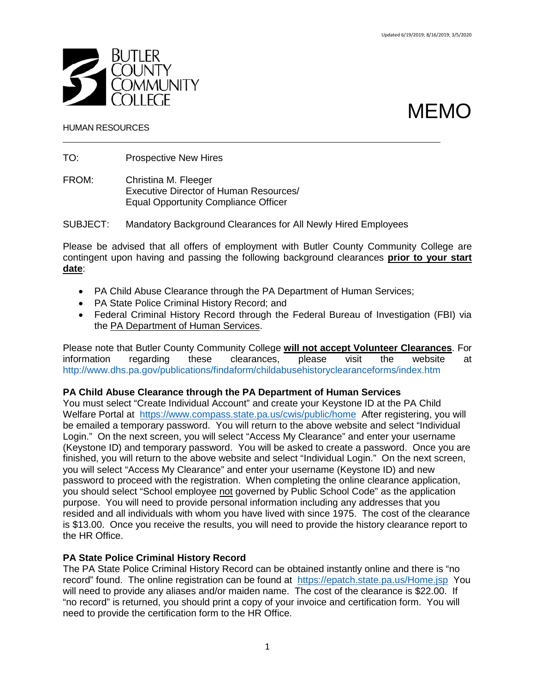

# MEMO

### HUMAN RESOURCES

TO: Prospective New Hires

FROM: Christina M. Fleeger Executive Director of Human Resources/ Equal Opportunity Compliance Officer

SUBJECT: Mandatory Background Clearances for All Newly Hired Employees

Please be advised that all offers of employment with Butler County Community College are contingent upon having and passing the following background clearances **prior to your start date**:

- PA Child Abuse Clearance through the PA Department of Human Services;
- PA State Police Criminal History Record; and
- Federal Criminal History Record through the Federal Bureau of Investigation (FBI) via the PA Department of Human Services.

Please note that Butler County Community College **will not accept Volunteer Clearances**. For information regarding these clearances, please visit the website at <http://www.dhs.pa.gov/publications/findaform/childabusehistoryclearanceforms/index.htm>

### **PA Child Abuse Clearance through the PA Department of Human Services**

You must select "Create Individual Account" and create your Keystone ID at the PA Child Welfare Portal at <https://www.compass.state.pa.us/cwis/public/home> After registering, you will be emailed a temporary password. You will return to the above website and select "Individual Login." On the next screen, you will select "Access My Clearance" and enter your username (Keystone ID) and temporary password. You will be asked to create a password. Once you are finished, you will return to the above website and select "Individual Login." On the next screen, you will select "Access My Clearance" and enter your username (Keystone ID) and new password to proceed with the registration. When completing the online clearance application, you should select "School employee not governed by Public School Code" as the application purpose. You will need to provide personal information including any addresses that you resided and all individuals with whom you have lived with since 1975. The cost of the clearance is \$13.00. Once you receive the results, you will need to provide the history clearance report to the HR Office.

### **PA State Police Criminal History Record**

The PA State Police Criminal History Record can be obtained instantly online and there is "no record" found. The online registration can be found at <https://epatch.state.pa.us/Home.jsp> You will need to provide any aliases and/or maiden name. The cost of the clearance is \$22.00. If "no record" is returned, you should print a copy of your invoice and certification form. You will need to provide the certification form to the HR Office.